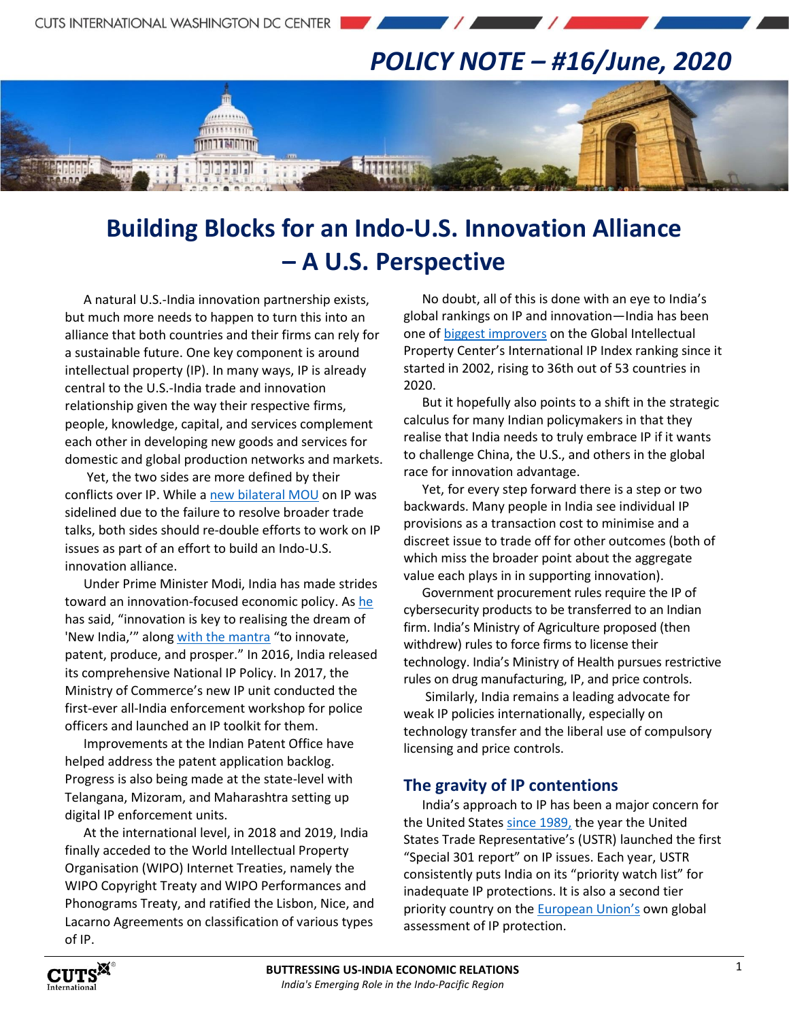## *POLICY NOTE – #16/June, 2020*

 $\mathcal{L}$  and  $\mathcal{L}$ 

# **Building Blocks for an Indo-U.S. Innovation Alliance – A U.S. Perspective**

A natural U.S.-India innovation partnership exists, but much more needs to happen to turn this into an alliance that both countries and their firms can rely for a sustainable future. One key component is around intellectual property (IP). In many ways, IP is already central to the U.S.-India trade and innovation relationship given the way their respective firms, people, knowledge, capital, and services complement each other in developing new goods and services for domestic and global production networks and markets.

יורההגודר

Yet, the two sides are more defined by their conflicts over IP. While a [new bilateral MOU](https://economictimes.indiatimes.com/news/international/business/india-us-ink-pact-on-intellectual-property-rights/articleshow/74218241.cms) on IP was sidelined due to the failure to resolve broader trade talks, both sides should re-double efforts to work on IP issues as part of an effort to build an Indo-U.S. innovation alliance.

Under Prime Minister Modi, India has made strides toward an innovation-focused economic policy. As [he](https://economictimes.indiatimes.com/news/politics-and-nation/innovation-key-to-realising-dream-of-new-india-narendra-modi/articleshow/63550347.cms) has said, "innovation is key to realising the dream of 'New India,'" along [with the mantra](https://economictimes.indiatimes.com/news/politics-and-nation/pm-urges-young-scientists-to-innovate-patent-produce-and-prosper/articleshow/73080399.cms) "to innovate, patent, produce, and prosper." In 2016, India released its comprehensive National IP Policy. In 2017, the Ministry of Commerce's new IP unit conducted the first-ever all-India enforcement workshop for police officers and launched an IP toolkit for them.

Improvements at the Indian Patent Office have helped address the patent application backlog. Progress is also being made at the state-level with Telangana, Mizoram, and Maharashtra setting up digital IP enforcement units.

At the international level, in 2018 and 2019, India finally acceded to the World Intellectual Property Organisation (WIPO) Internet Treaties, namely the WIPO Copyright Treaty and WIPO Performances and Phonograms Treaty, and ratified the Lisbon, Nice, and Lacarno Agreements on classification of various types of IP.

No doubt, all of this is done with an eye to India's global rankings on IP and innovation—India has been one o[f biggest improvers](https://www.theglobalipcenter.com/2018-v-2017-five-things-the-u-s-chamber-international-ip-index-reveals-about-india/) on the Global Intellectual Property Center's International IP Index ranking since it started in 2002, rising to 36th out of 53 countries in 2020.

But it hopefully also points to a shift in the strategic calculus for many Indian policymakers in that they realise that India needs to truly embrace IP if it wants to challenge China, the U.S., and others in the global race for innovation advantage.

Yet, for every step forward there is a step or two backwards. Many people in India see individual IP provisions as a transaction cost to minimise and a discreet issue to trade off for other outcomes (both of which miss the broader point about the aggregate value each plays in in supporting innovation).

Government procurement rules require the IP of cybersecurity products to be transferred to an Indian firm. India's Ministry of Agriculture proposed (then withdrew) rules to force firms to license their technology. India's Ministry of Health pursues restrictive rules on drug manufacturing, IP, and price controls.

Similarly, India remains a leading advocate for weak IP policies internationally, especially on technology transfer and the liberal use of compulsory licensing and price controls.

#### **The gravity of IP contentions**

India's approach to IP has been a major concern for the United State[s since 1989,](https://ustr.gov/sites/default/files/1989%20Special%20301%20Report.pdf) the year the United States Trade Representative's (USTR) launched the first "Special 301 report" on IP issues. Each year, USTR consistently puts India on its "priority watch list" for inadequate IP protections. It is also a second tier priority country on the **[European Union's](https://trade.ec.europa.eu/doclib/docs/2020/january/tradoc_158561.pdf)** own global assessment of IP protection.